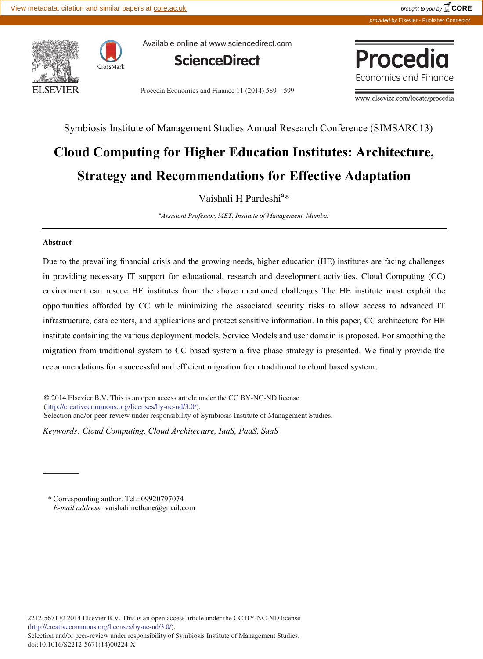

CrossMark

Available online at www.sciencedirect.com



Procedia Economics and Finance 11 (2014) 589 – 599



www.elsevier.com/locate/procedia

Symbiosis Institute of Management Studies Annual Research Conference (SIMSARC13)

# **Cloud Computing for Higher Education Institutes: Architecture, Strategy and Recommendations for Effective Adaptation**

Vaishali H Pardeshi<sup>a\*</sup>

*a Assistant Professor, MET, Institute of Management, Mumbai*

#### **Abstract**

Due to the prevailing financial crisis and the growing needs, higher education (HE) institutes are facing challenges in providing necessary IT support for educational, research and development activities. Cloud Computing (CC) environment can rescue HE institutes from the above mentioned challenges The HE institute must exploit the opportunities afforded by CC while minimizing the associated security risks to allow access to advanced IT infrastructure, data centers, and applications and protect sensitive information. In this paper, CC architecture for HE institute containing the various deployment models, Service Models and user domain is proposed. For smoothing the migration from traditional system to CC based system a five phase strategy is presented. We finally provide the recommendations for a successful and efficient migration from traditional to cloud based system.

Solut Elsevier B.V. This is an open access ancie (<br>(http://creativecommons.org/licenses/by-nc-nd/3.0/). Selection and/or peer-review under responsibility of Symbiosis Institute of Management Studies. Selection and/or peer-review under responsibility of Symbiosis Institute of Management Studies. © 2014 Elsevier B.V. This is an open access article under the CC BY-NC-ND license

*Keywords: Cloud Computing, Cloud Architecture, IaaS, PaaS, SaaS*

\* Corresponding author. Tel.: 09920797074 *E-mail address:* vaishaliincthane@gmail.com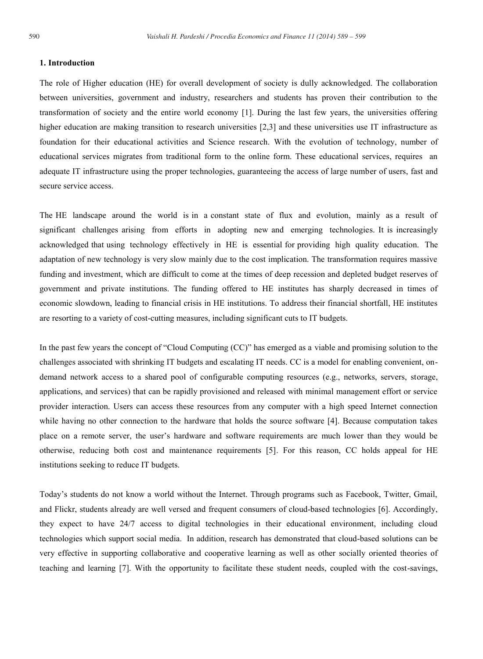## **1. Introduction**

The role of Higher education (HE) for overall development of society is dully acknowledged. The collaboration between universities, government and industry, researchers and students has proven their contribution to the transformation of society and the entire world economy [1]. During the last few years, the universities offering higher education are making transition to research universities [2,3] and these universities use IT infrastructure as foundation for their educational activities and Science research. With the evolution of technology, number of educational services migrates from traditional form to the online form. These educational services, requires an adequate IT infrastructure using the proper technologies, guaranteeing the access of large number of users, fast and secure service access.

The HE landscape around the world is in a constant state of flux and evolution, mainly as a result of significant challenges arising from efforts in adopting new and emerging technologies. It is increasingly acknowledged that using technology effectively in HE is essential for providing high quality education. The adaptation of new technology is very slow mainly due to the cost implication. The transformation requires massive funding and investment, which are difficult to come at the times of deep recession and depleted budget reserves of government and private institutions. The funding offered to HE institutes has sharply decreased in times of economic slowdown, leading to financial crisis in HE institutions. To address their financial shortfall, HE institutes are resorting to a variety of cost-cutting measures, including significant cuts to IT budgets.

In the past few years the concept of "Cloud Computing (CC)" has emerged as a viable and promising solution to the challenges associated with shrinking IT budgets and escalating IT needs. CC is a model for enabling convenient, ondemand network access to a shared pool of configurable computing resources (e.g., networks, servers, storage, applications, and services) that can be rapidly provisioned and released with minimal management effort or service provider interaction. Users can access these resources from any computer with a high speed Internet connection while having no other connection to the hardware that holds the source software [4]. Because computation takes place on a remote server, the user's hardware and software requirements are much lower than they would be otherwise, reducing both cost and maintenance requirements [5]. For this reason, CC holds appeal for HE institutions seeking to reduce IT budgets.

Today's students do not know a world without the Internet. Through programs such as Facebook, Twitter, Gmail, and Flickr, students already are well versed and frequent consumers of cloud-based technologies [6]. Accordingly, they expect to have 24/7 access to digital technologies in their educational environment, including cloud technologies which support social media. In addition, research has demonstrated that cloud-based solutions can be very effective in supporting collaborative and cooperative learning as well as other socially oriented theories of teaching and learning [7]. With the opportunity to facilitate these student needs, coupled with the cost-savings,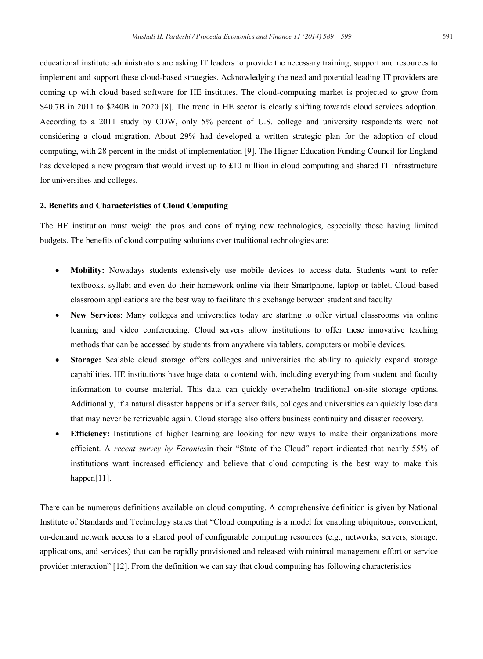educational institute administrators are asking IT leaders to provide the necessary training, support and resources to implement and support these cloud-based strategies. Acknowledging the need and potential leading IT providers are coming up with cloud based software for HE institutes. The cloud-computing market is projected to grow from \$40.7B in 2011 to \$240B in 2020 [8]. The trend in HE sector is clearly shifting towards cloud services adoption. According to a 2011 study by CDW, only 5% percent of U.S. college and university respondents were not considering a cloud migration. About 29% had developed a written strategic plan for the adoption of cloud computing, with 28 percent in the midst of implementation [9]. The Higher Education Funding Council for England has developed a new program that would invest up to £10 million in cloud computing and shared IT infrastructure for universities and colleges.

### **2. Benefits and Characteristics of Cloud Computing**

The HE institution must weigh the pros and cons of trying new technologies, especially those having limited budgets. The benefits of cloud computing solutions over traditional technologies are:

- x **Mobility:** Nowadays students extensively use mobile devices to access data. Students want to refer textbooks, syllabi and even do their homework online via their Smartphone, laptop or tablet. Cloud-based classroom applications are the best way to facilitate this exchange between student and faculty.
- x **New Services**: Many colleges and universities today are starting to offer virtual classrooms via online learning and video conferencing. Cloud servers allow institutions to offer these innovative teaching methods that can be accessed by students from anywhere via tablets, computers or mobile devices.
- **Storage:** Scalable cloud storage offers colleges and universities the ability to quickly expand storage capabilities. HE institutions have huge data to contend with, including everything from student and faculty information to course material. This data can quickly overwhelm traditional on-site storage options. Additionally, if a natural disaster happens or if a server fails, colleges and universities can quickly lose data that may never be retrievable again. Cloud storage also offers business continuity and disaster recovery.
- **Efficiency:** Institutions of higher learning are looking for new ways to make their organizations more efficient. A *recent survey by Faronics*in their "State of the Cloud" report indicated that nearly 55% of institutions want increased efficiency and believe that cloud computing is the best way to make this happen[11].

There can be numerous definitions available on cloud computing. A comprehensive definition is given by National Institute of Standards and Technology states that "Cloud computing is a model for enabling ubiquitous, convenient, on-demand network access to a shared pool of configurable computing resources (e.g., networks, servers, storage, applications, and services) that can be rapidly provisioned and released with minimal management effort or service provider interaction" [12]. From the definition we can say that cloud computing has following characteristics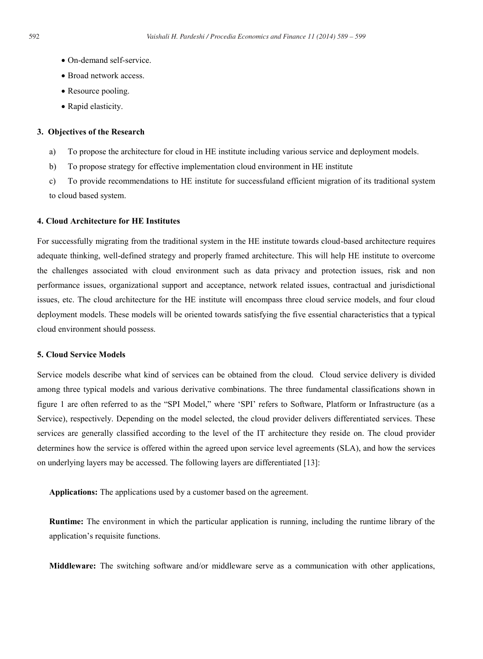- On-demand self-service.
- Broad network access.
- Resource pooling.
- Rapid elasticity.

#### **3. Objectives of the Research**

- a) To propose the architecture for cloud in HE institute including various service and deployment models.
- b) To propose strategy for effective implementation cloud environment in HE institute

c) To provide recommendations to HE institute for successfuland efficient migration of its traditional system to cloud based system.

#### **4. Cloud Architecture for HE Institutes**

For successfully migrating from the traditional system in the HE institute towards cloud-based architecture requires adequate thinking, well-defined strategy and properly framed architecture. This will help HE institute to overcome the challenges associated with cloud environment such as data privacy and protection issues, risk and non performance issues, organizational support and acceptance, network related issues, contractual and jurisdictional issues, etc. The cloud architecture for the HE institute will encompass three cloud service models, and four cloud deployment models. These models will be oriented towards satisfying the five essential characteristics that a typical cloud environment should possess.

## **5. Cloud Service Models**

Service models describe what kind of services can be obtained from the cloud. Cloud service delivery is divided among three typical models and various derivative combinations. The three fundamental classifications shown in figure 1 are often referred to as the "SPI Model," where 'SPI' refers to Software, Platform or Infrastructure (as a Service), respectively. Depending on the model selected, the cloud provider delivers differentiated services. These services are generally classified according to the level of the IT architecture they reside on. The cloud provider determines how the service is offered within the agreed upon service level agreements (SLA), and how the services on underlying layers may be accessed. The following layers are differentiated [13]:

**Applications:** The applications used by a customer based on the agreement.

**Runtime:** The environment in which the particular application is running, including the runtime library of the application's requisite functions.

**Middleware:** The switching software and/or middleware serve as a communication with other applications,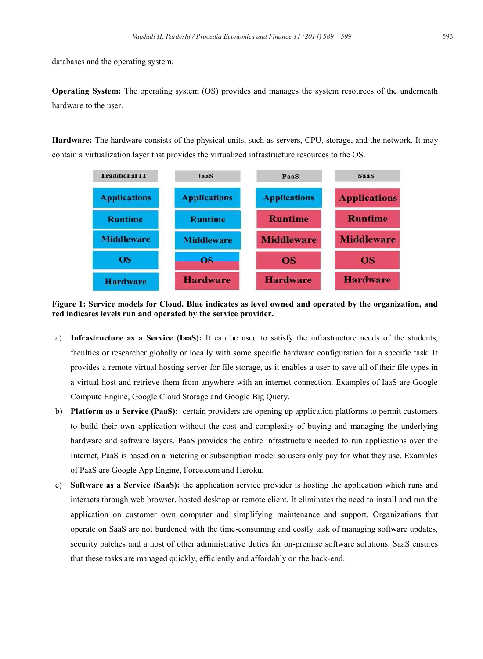databases and the operating system.

**Operating System:** The operating system (OS) provides and manages the system resources of the underneath hardware to the user.

**Hardware:** The hardware consists of the physical units, such as servers, CPU, storage, and the network. It may contain a virtualization layer that provides the virtualized infrastructure resources to the OS.



**Figure 1: Service models for Cloud. Blue indicates as level owned and operated by the organization, and red indicates levels run and operated by the service provider.**

- a) **Infrastructure as a Service (IaaS):** It can be used to satisfy the infrastructure needs of the students, faculties or researcher globally or locally with some specific hardware configuration for a specific task. It provides a remote virtual hosting server for file storage, as it enables a user to save all of their file types in a virtual host and retrieve them from anywhere with an internet connection. Examples of IaaS are Google Compute Engine, Google Cloud Storage and Google Big Query.
- b) **Platform as a Service (PaaS):** certain providers are opening up application platforms to permit customers to build their own application without the cost and complexity of buying and managing the underlying hardware and software layers. PaaS provides the entire infrastructure needed to run applications over the Internet, PaaS is based on a metering or subscription model so users only pay for what they use. Examples of PaaS are Google App Engine, Force.com and Heroku.
- c) **Software as a Service (SaaS):** the application service provider is hosting the application which runs and interacts through web browser, hosted desktop or remote client. It eliminates the need to install and run the application on customer own computer and simplifying maintenance and support. Organizations that operate on SaaS are not burdened with the time-consuming and costly task of managing software updates, security patches and a host of other administrative duties for on-premise software solutions. SaaS ensures that these tasks are managed quickly, efficiently and affordably on the back-end.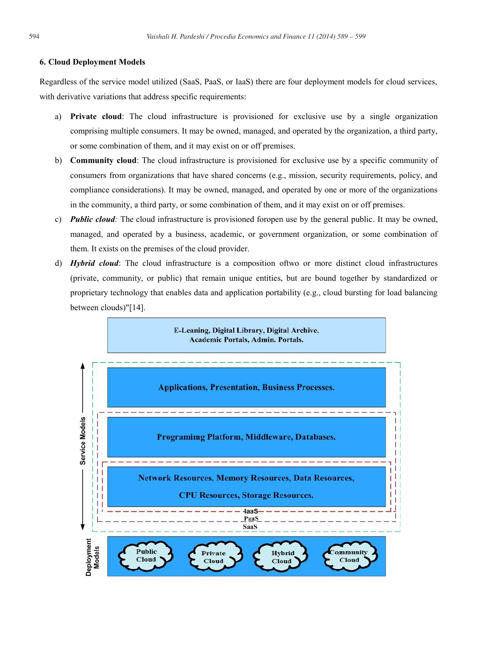#### **6. Cloud Deployment Models**

Regardless of the service model utilized (SaaS, PaaS, or IaaS) there are four deployment models for cloud services, with derivative variations that address specific requirements:

- a) **Private cloud**: The cloud infrastructure is provisioned for exclusive use by a single organization comprising multiple consumers. It may be owned, managed, and operated by the organization, a third party, or some combination of them, and it may exist on or off premises.
- b) **Community cloud**: The cloud infrastructure is provisioned for exclusive use by a specific community of consumers from organizations that have shared concerns (e.g., mission, security requirements, policy, and compliance considerations). It may be owned, managed, and operated by one or more of the organizations in the community, a third party, or some combination of them, and it may exist on or off premises.
- c) *Public cloud:* The cloud infrastructure is provisioned foropen use by the general public. It may be owned, managed, and operated by a business, academic, or government organization, or some combination of them. It exists on the premises of the cloud provider.
- d) *Hybrid cloud*: The cloud infrastructure is a composition oftwo or more distinct cloud infrastructures (private, community, or public) that remain unique entities, but are bound together by standardized or proprietary technology that enables data and application portability (e.g., cloud bursting for load balancing between clouds)"[14].

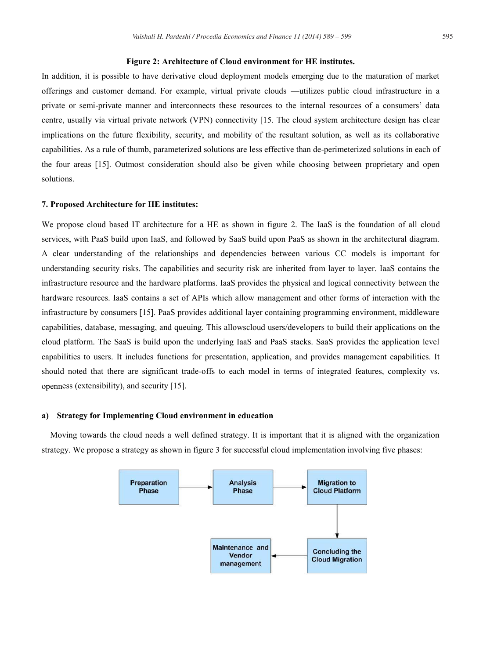#### **Figure 2: Architecture of Cloud environment for HE institutes.**

In addition, it is possible to have derivative cloud deployment models emerging due to the maturation of market offerings and customer demand. For example, virtual private clouds —utilizes public cloud infrastructure in a private or semi-private manner and interconnects these resources to the internal resources of a consumers' data centre, usually via virtual private network (VPN) connectivity [15. The cloud system architecture design has clear implications on the future flexibility, security, and mobility of the resultant solution, as well as its collaborative capabilities. As a rule of thumb, parameterized solutions are less effective than de-perimeterized solutions in each of the four areas [15]. Outmost consideration should also be given while choosing between proprietary and open solutions.

#### **7. Proposed Architecture for HE institutes:**

We propose cloud based IT architecture for a HE as shown in figure 2. The IaaS is the foundation of all cloud services, with PaaS build upon IaaS, and followed by SaaS build upon PaaS as shown in the architectural diagram. A clear understanding of the relationships and dependencies between various CC models is important for understanding security risks. The capabilities and security risk are inherited from layer to layer. IaaS contains the infrastructure resource and the hardware platforms. IaaS provides the physical and logical connectivity between the hardware resources. IaaS contains a set of APIs which allow management and other forms of interaction with the infrastructure by consumers [15]. PaaS provides additional layer containing programming environment, middleware capabilities, database, messaging, and queuing. This allowscloud users/developers to build their applications on the cloud platform. The SaaS is build upon the underlying IaaS and PaaS stacks. SaaS provides the application level capabilities to users. It includes functions for presentation, application, and provides management capabilities. It should noted that there are significant trade-offs to each model in terms of integrated features, complexity vs. openness (extensibility), and security [15].

## **a) Strategy for Implementing Cloud environment in education**

Moving towards the cloud needs a well defined strategy. It is important that it is aligned with the organization strategy. We propose a strategy as shown in figure 3 for successful cloud implementation involving five phases:

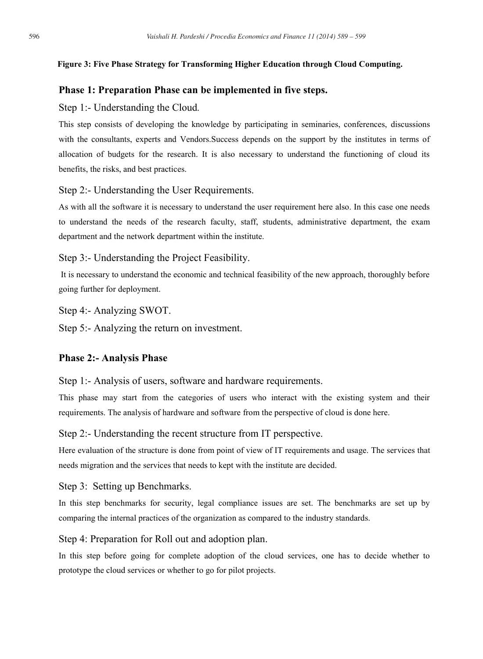## **Figure 3: Five Phase Strategy for Transforming Higher Education through Cloud Computing.**

## **Phase 1: Preparation Phase can be implemented in five steps.**

Step 1:- Understanding the Cloud*.* 

This step consists of developing the knowledge by participating in seminaries, conferences, discussions with the consultants, experts and Vendors.Success depends on the support by the institutes in terms of allocation of budgets for the research. It is also necessary to understand the functioning of cloud its benefits, the risks, and best practices.

## Step 2:- Understanding the User Requirements.

As with all the software it is necessary to understand the user requirement here also. In this case one needs to understand the needs of the research faculty, staff, students, administrative department, the exam department and the network department within the institute.

## Step 3:- Understanding the Project Feasibility.

It is necessary to understand the economic and technical feasibility of the new approach, thoroughly before going further for deployment.

Step 4:- Analyzing SWOT.

Step 5:- Analyzing the return on investment.

# **Phase 2:- Analysis Phase**

Step 1:- Analysis of users, software and hardware requirements.

This phase may start from the categories of users who interact with the existing system and their requirements. The analysis of hardware and software from the perspective of cloud is done here.

Step 2:- Understanding the recent structure from IT perspective.

Here evaluation of the structure is done from point of view of IT requirements and usage. The services that needs migration and the services that needs to kept with the institute are decided.

Step 3: Setting up Benchmarks.

In this step benchmarks for security, legal compliance issues are set. The benchmarks are set up by comparing the internal practices of the organization as compared to the industry standards.

Step 4: Preparation for Roll out and adoption plan.

In this step before going for complete adoption of the cloud services, one has to decide whether to prototype the cloud services or whether to go for pilot projects.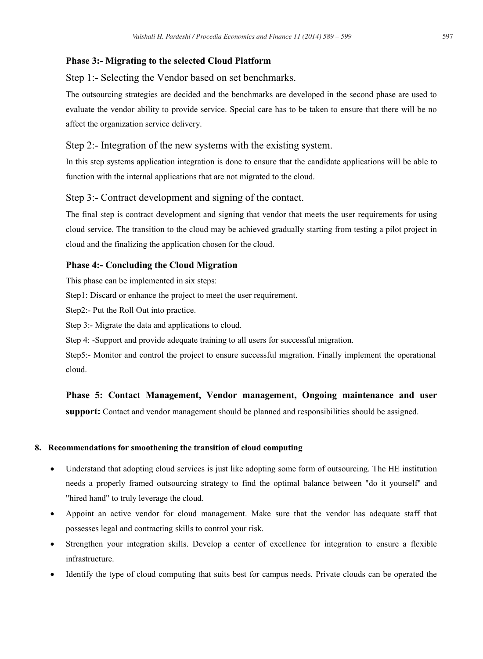# **Phase 3:- Migrating to the selected Cloud Platform**

# Step 1:- Selecting the Vendor based on set benchmarks.

The outsourcing strategies are decided and the benchmarks are developed in the second phase are used to evaluate the vendor ability to provide service. Special care has to be taken to ensure that there will be no affect the organization service delivery.

# Step 2:- Integration of the new systems with the existing system.

In this step systems application integration is done to ensure that the candidate applications will be able to function with the internal applications that are not migrated to the cloud.

# Step 3:- Contract development and signing of the contact.

The final step is contract development and signing that vendor that meets the user requirements for using cloud service. The transition to the cloud may be achieved gradually starting from testing a pilot project in cloud and the finalizing the application chosen for the cloud.

# **Phase 4:- Concluding the Cloud Migration**

This phase can be implemented in six steps:

Step1: Discard or enhance the project to meet the user requirement.

Step2:- Put the Roll Out into practice.

Step 3:- Migrate the data and applications to cloud.

Step 4: -Support and provide adequate training to all users for successful migration.

Step5:- Monitor and control the project to ensure successful migration. Finally implement the operational cloud.

**Phase 5: Contact Management, Vendor management, Ongoing maintenance and user support:** Contact and vendor management should be planned and responsibilities should be assigned.

## **8. Recommendations for smoothening the transition of cloud computing**

- Understand that adopting cloud services is just like adopting some form of outsourcing. The HE institution needs a properly framed outsourcing strategy to find the optimal balance between "do it yourself" and "hired hand" to truly leverage the cloud.
- Appoint an active vendor for cloud management. Make sure that the vendor has adequate staff that possesses legal and contracting skills to control your risk.
- x Strengthen your integration skills. Develop a center of excellence for integration to ensure a flexible infrastructure.
- Identify the type of cloud computing that suits best for campus needs. Private clouds can be operated the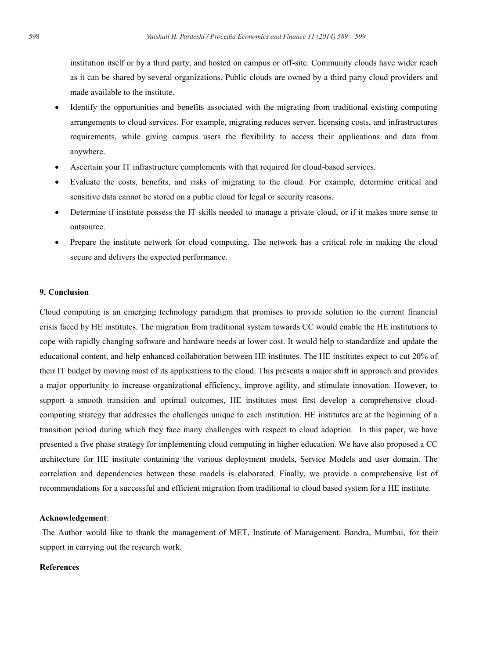institution itself or by a third party, and hosted on campus or off-site. Community clouds have wider reach as it can be shared by several organizations. Public clouds are owned by a third party cloud providers and made available to the institute.

- Identify the opportunities and benefits associated with the migrating from traditional existing computing arrangements to cloud services. For example, migrating reduces server, licensing costs, and infrastructures requirements, while giving campus users the flexibility to access their applications and data from anywhere.
- Ascertain your IT infrastructure complements with that required for cloud-based services.
- Evaluate the costs, benefits, and risks of migrating to the cloud. For example, determine critical and sensitive data cannot be stored on a public cloud for legal or security reasons.
- Determine if institute possess the IT skills needed to manage a private cloud, or if it makes more sense to outsource.
- Prepare the institute network for cloud computing. The network has a critical role in making the cloud secure and delivers the expected performance.

#### **9. Conclusion**

Cloud computing is an emerging technology paradigm that promises to provide solution to the current financial crisis faced by HE institutes. The migration from traditional system towards CC would enable the HE institutions to cope with rapidly changing software and hardware needs at lower cost. It would help to standardize and update the educational content, and help enhanced collaboration between HE institutes. The HE institutes expect to cut 20% of their IT budget by moving most of its applications to the cloud. This presents a major shift in approach and provides a major opportunity to increase organizational efficiency, improve agility, and stimulate innovation. However, to support a smooth transition and optimal outcomes, HE institutes must first develop a comprehensive cloudcomputing strategy that addresses the challenges unique to each institution. HE institutes are at the beginning of a transition period during which they face many challenges with respect to cloud adoption. In this paper, we have presented a five phase strategy for implementing cloud computing in higher education. We have also proposed a CC architecture for HE institute containing the various deployment models, Service Models and user domain. The correlation and dependencies between these models is elaborated. Finally, we provide a comprehensive list of recommendations for a successful and efficient migration from traditional to cloud based system for a HE institute.

#### **Acknowledgement**:

The Author would like to thank the management of MET, Institute of Management, Bandra, Mumbai, for their support in carrying out the research work.

#### **References**